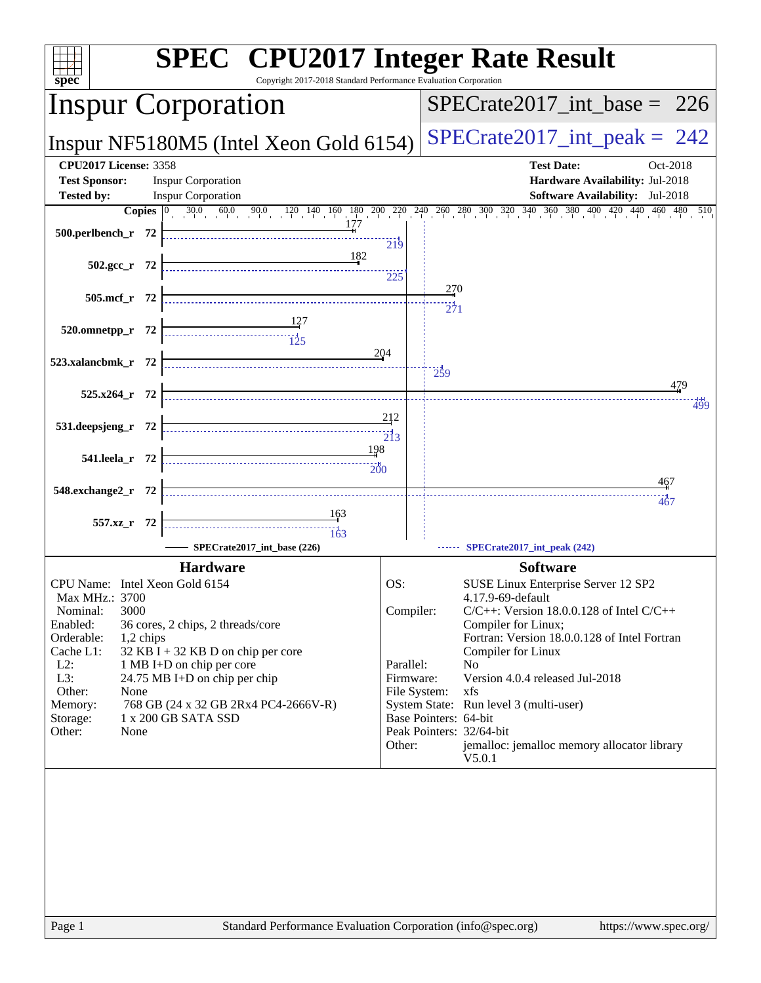| <b>SPEC<sup>®</sup></b> CPU2017 Integer Rate Result<br>Copyright 2017-2018 Standard Performance Evaluation Corporation<br>spec <sup>®</sup> |                                                                      |                               |                        |                                                                                                                                                                                              |  |
|---------------------------------------------------------------------------------------------------------------------------------------------|----------------------------------------------------------------------|-------------------------------|------------------------|----------------------------------------------------------------------------------------------------------------------------------------------------------------------------------------------|--|
| <b>Inspur Corporation</b>                                                                                                                   |                                                                      |                               |                        | $SPECTate2017$ _int_base = 226                                                                                                                                                               |  |
| Inspur NF5180M5 (Intel Xeon Gold 6154)                                                                                                      |                                                                      |                               |                        | $SPECrate2017\_int\_peak = 242$                                                                                                                                                              |  |
| <b>CPU2017 License: 3358</b><br><b>Test Sponsor:</b><br><b>Tested by:</b>                                                                   | <b>Inspur Corporation</b><br><b>Inspur Corporation</b>               |                               |                        | <b>Test Date:</b><br>Oct-2018<br>Hardware Availability: Jul-2018<br>Software Availability: Jul-2018                                                                                          |  |
|                                                                                                                                             |                                                                      |                               |                        | <b>Copies</b> $\begin{bmatrix} 0 & 30.0 & 60.0 & 90.0 & 120 & 140 & 160 & 180 & 200 & 220 & 240 & 260 & 280 & 300 & 320 & 340 & 360 & 380 & 400 & 420 & 440 & 460 & 480 & 510 \end{bmatrix}$ |  |
| 500.perlbench_r 72                                                                                                                          |                                                                      | 219                           |                        |                                                                                                                                                                                              |  |
| $502.\text{gcc r}$ 72                                                                                                                       | 182                                                                  |                               |                        |                                                                                                                                                                                              |  |
|                                                                                                                                             |                                                                      | 225                           |                        |                                                                                                                                                                                              |  |
| 505.mcf_r 72                                                                                                                                |                                                                      |                               | 270<br>$\frac{1}{271}$ |                                                                                                                                                                                              |  |
| 520.omnetpp_r 72                                                                                                                            |                                                                      |                               |                        |                                                                                                                                                                                              |  |
|                                                                                                                                             | $\begin{array}{c}\n \overline{115} \\  \overline{125}\n \end{array}$ | 204                           |                        |                                                                                                                                                                                              |  |
| 523.xalancbmk_r 72                                                                                                                          |                                                                      |                               | $\frac{1}{259}$        |                                                                                                                                                                                              |  |
| 525.x264_r 72                                                                                                                               |                                                                      |                               |                        | 479                                                                                                                                                                                          |  |
|                                                                                                                                             |                                                                      | 212                           |                        | 499                                                                                                                                                                                          |  |
| 531.deepsjeng_r 72                                                                                                                          |                                                                      | $\overline{2}$ <sup>1</sup> 3 |                        |                                                                                                                                                                                              |  |
| 541.leela r 72                                                                                                                              | 198                                                                  |                               |                        |                                                                                                                                                                                              |  |
|                                                                                                                                             |                                                                      |                               |                        | 467                                                                                                                                                                                          |  |
| 548.exchange2_r 72                                                                                                                          |                                                                      |                               |                        | <br>467                                                                                                                                                                                      |  |
| 557.xz_r 72                                                                                                                                 | 163                                                                  |                               |                        |                                                                                                                                                                                              |  |
|                                                                                                                                             | 163<br>SPECrate2017_int_base (226)                                   |                               |                        | SPECrate2017_int_peak (242)                                                                                                                                                                  |  |
|                                                                                                                                             | <b>Hardware</b>                                                      |                               |                        | <b>Software</b>                                                                                                                                                                              |  |
| CPU Name: Intel Xeon Gold 6154                                                                                                              |                                                                      | OS:                           |                        | SUSE Linux Enterprise Server 12 SP2                                                                                                                                                          |  |
| Max MHz.: 3700<br>3000<br>Nominal:                                                                                                          |                                                                      | Compiler:                     |                        | 4.17.9-69-default<br>$C/C++$ : Version 18.0.0.128 of Intel $C/C++$                                                                                                                           |  |
| Enabled:                                                                                                                                    | 36 cores, 2 chips, 2 threads/core                                    |                               |                        | Compiler for Linux;                                                                                                                                                                          |  |
| Orderable:<br>1,2 chips<br>Cache L1:                                                                                                        | $32$ KB I + 32 KB D on chip per core                                 |                               |                        | Fortran: Version 18.0.0.128 of Intel Fortran<br>Compiler for Linux                                                                                                                           |  |
| $L2$ :                                                                                                                                      | 1 MB I+D on chip per core                                            | Parallel:                     |                        | N <sub>0</sub>                                                                                                                                                                               |  |
| $L3$ :<br>Other:<br>None                                                                                                                    | 24.75 MB I+D on chip per chip                                        | Firmware:<br>File System:     |                        | Version 4.0.4 released Jul-2018<br>xfs                                                                                                                                                       |  |
| Memory:                                                                                                                                     | 768 GB (24 x 32 GB 2Rx4 PC4-2666V-R)                                 |                               |                        | System State: Run level 3 (multi-user)                                                                                                                                                       |  |
| 1 x 200 GB SATA SSD<br>Storage:<br>Other:<br>None                                                                                           |                                                                      |                               | Base Pointers: 64-bit  | Peak Pointers: 32/64-bit                                                                                                                                                                     |  |
|                                                                                                                                             |                                                                      | Other:                        |                        | jemalloc: jemalloc memory allocator library<br>V5.0.1                                                                                                                                        |  |
|                                                                                                                                             |                                                                      |                               |                        |                                                                                                                                                                                              |  |
|                                                                                                                                             |                                                                      |                               |                        |                                                                                                                                                                                              |  |
|                                                                                                                                             |                                                                      |                               |                        |                                                                                                                                                                                              |  |
|                                                                                                                                             |                                                                      |                               |                        |                                                                                                                                                                                              |  |
|                                                                                                                                             |                                                                      |                               |                        |                                                                                                                                                                                              |  |
|                                                                                                                                             |                                                                      |                               |                        |                                                                                                                                                                                              |  |
|                                                                                                                                             |                                                                      |                               |                        |                                                                                                                                                                                              |  |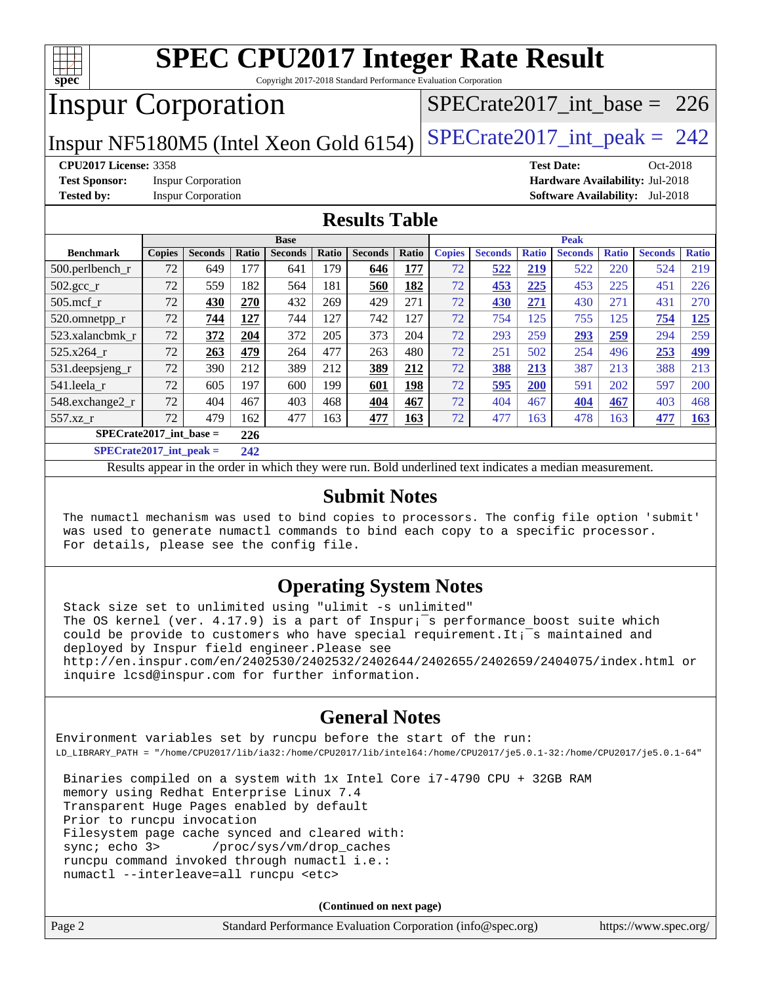

Copyright 2017-2018 Standard Performance Evaluation Corporation

## Inspur Corporation

[SPECrate2017\\_int\\_base =](http://www.spec.org/auto/cpu2017/Docs/result-fields.html#SPECrate2017intbase) 226

Inspur NF5180M5 (Intel Xeon Gold 6154)  $SPECrate2017\_int\_peak = 242$ 

#### **[CPU2017 License:](http://www.spec.org/auto/cpu2017/Docs/result-fields.html#CPU2017License)** 3358 **[Test Date:](http://www.spec.org/auto/cpu2017/Docs/result-fields.html#TestDate)** Oct-2018

**[Test Sponsor:](http://www.spec.org/auto/cpu2017/Docs/result-fields.html#TestSponsor)** Inspur Corporation **[Hardware Availability:](http://www.spec.org/auto/cpu2017/Docs/result-fields.html#HardwareAvailability)** Jul-2018

**[Tested by:](http://www.spec.org/auto/cpu2017/Docs/result-fields.html#Testedby)** Inspur Corporation **[Software Availability:](http://www.spec.org/auto/cpu2017/Docs/result-fields.html#SoftwareAvailability)** Jul-2018

#### **[Results Table](http://www.spec.org/auto/cpu2017/Docs/result-fields.html#ResultsTable)**

|                                                  | <b>Base</b>   |                |       |                |       | <b>Peak</b>    |       |               |                |              |                |              |                |              |
|--------------------------------------------------|---------------|----------------|-------|----------------|-------|----------------|-------|---------------|----------------|--------------|----------------|--------------|----------------|--------------|
| <b>Benchmark</b>                                 | <b>Copies</b> | <b>Seconds</b> | Ratio | <b>Seconds</b> | Ratio | <b>Seconds</b> | Ratio | <b>Copies</b> | <b>Seconds</b> | <b>Ratio</b> | <b>Seconds</b> | <b>Ratio</b> | <b>Seconds</b> | <b>Ratio</b> |
| 500.perlbench_r                                  | 72            | 649            | 177   | 641            | 179   | 646            | 177   | 72            | 522            | 219          | 522            | 220          | 524            | 219          |
| $502.\text{gcc}$ <sub>r</sub>                    | 72            | 559            | 182   | 564            | 181   | 560            | 182   | 72            | 453            | 225          | 453            | 225          | 451            | 226          |
| $505$ .mcf r                                     | 72            | 430            | 270   | 432            | 269   | 429            | 271   | 72            | 430            | 271          | 430            | 271          | 431            | 270          |
| 520.omnetpp_r                                    | 72            | 744            | 127   | 744            | 127   | 742            | 127   | 72            | 754            | 125          | 755            | 125          | 754            | 125          |
| 523.xalancbmk r                                  | 72            | 372            | 204   | 372            | 205   | 373            | 204   | 72            | 293            | 259          | 293            | 259          | 294            | 259          |
| 525.x264 r                                       | 72            | 263            | 479   | 264            | 477   | 263            | 480   | 72            | 251            | 502          | 254            | 496          | 253            | <u>499</u>   |
| 531.deepsjeng_r                                  | 72            | 390            | 212   | 389            | 212   | 389            | 212   | 72            | 388            | 213          | 387            | 213          | 388            | 213          |
| 541.leela r                                      | 72            | 605            | 197   | 600            | 199   | 601            | 198   | 72            | 595            | 200          | 591            | 202          | 597            | 200          |
| 548.exchange2_r                                  | 72            | 404            | 467   | 403            | 468   | 404            | 467   | 72            | 404            | 467          | 404            | 467          | 403            | 468          |
| 557.xz r                                         | 72            | 479            | 162   | 477            | 163   | 477            | 163   | 72            | 477            | 163          | 478            | 163          | 477            | 163          |
| $SPECrate2017$ int base =<br>226                 |               |                |       |                |       |                |       |               |                |              |                |              |                |              |
| $\sim$ $\sim$ $\sim$ $\sim$ $\sim$ $\sim$ $\sim$ |               |                |       |                |       |                |       |               |                |              |                |              |                |              |

**[SPECrate2017\\_int\\_peak =](http://www.spec.org/auto/cpu2017/Docs/result-fields.html#SPECrate2017intpeak) 242**

Results appear in the [order in which they were run](http://www.spec.org/auto/cpu2017/Docs/result-fields.html#RunOrder). Bold underlined text [indicates a median measurement](http://www.spec.org/auto/cpu2017/Docs/result-fields.html#Median).

#### **[Submit Notes](http://www.spec.org/auto/cpu2017/Docs/result-fields.html#SubmitNotes)**

 The numactl mechanism was used to bind copies to processors. The config file option 'submit' was used to generate numactl commands to bind each copy to a specific processor. For details, please see the config file.

#### **[Operating System Notes](http://www.spec.org/auto/cpu2017/Docs/result-fields.html#OperatingSystemNotes)**

 Stack size set to unlimited using "ulimit -s unlimited" The OS kernel (ver. 4.17.9) is a part of Inspur;<sup>-</sup>s performance boost suite which could be provide to customers who have special requirement. It;<sup> $=$ </sup>s maintained and deployed by Inspur field engineer. Please see <http://en.inspur.com/en/2402530/2402532/2402644/2402655/2402659/2404075/index.html> or inquire lcsd@inspur.com for further information.

#### **[General Notes](http://www.spec.org/auto/cpu2017/Docs/result-fields.html#GeneralNotes)**

Environment variables set by runcpu before the start of the run: LD\_LIBRARY\_PATH = "/home/CPU2017/lib/ia32:/home/CPU2017/lib/intel64:/home/CPU2017/je5.0.1-32:/home/CPU2017/je5.0.1-64"

 Binaries compiled on a system with 1x Intel Core i7-4790 CPU + 32GB RAM memory using Redhat Enterprise Linux 7.4 Transparent Huge Pages enabled by default Prior to runcpu invocation Filesystem page cache synced and cleared with: sync; echo 3> /proc/sys/vm/drop\_caches runcpu command invoked through numactl i.e.: numactl --interleave=all runcpu <etc>

**(Continued on next page)**

| Page 2 | Standard Performance Evaluation Corporation (info@spec.org) | https://www.spec.org/ |
|--------|-------------------------------------------------------------|-----------------------|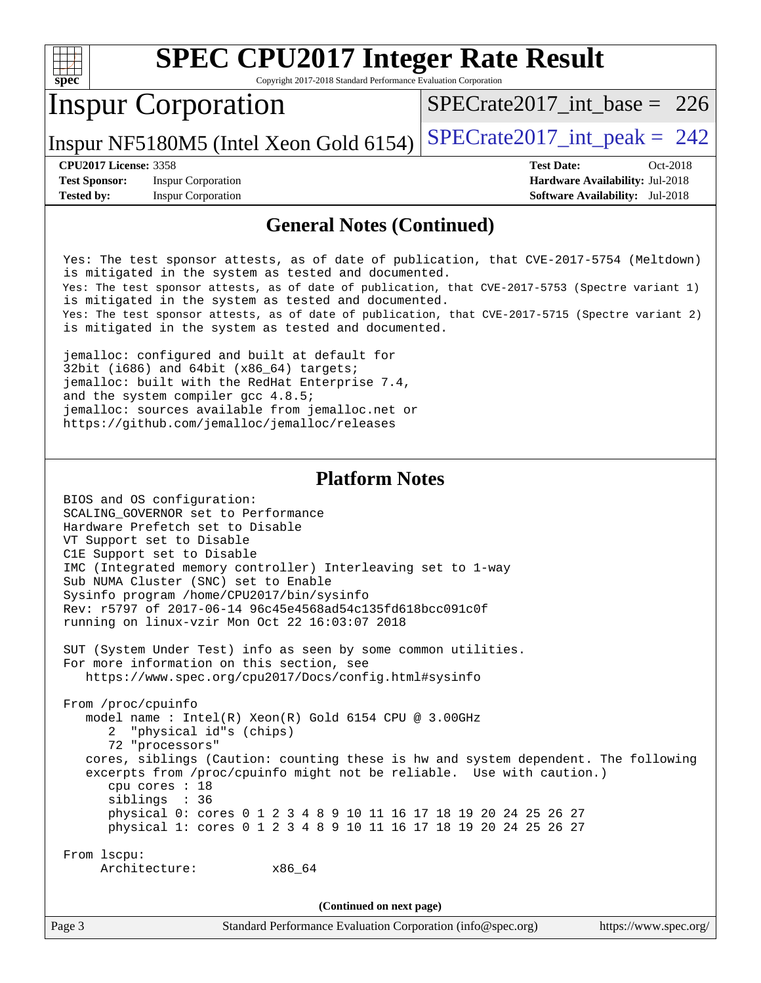| <b>SPEC CPU2017 Integer Rate Result</b><br>Copyright 2017-2018 Standard Performance Evaluation Corporation<br>$spec^*$                                                                                                                                                                                                                                                                                                                                                                                                                                                                                                                                                                                                                                               |                                                                                                            |  |  |  |  |
|----------------------------------------------------------------------------------------------------------------------------------------------------------------------------------------------------------------------------------------------------------------------------------------------------------------------------------------------------------------------------------------------------------------------------------------------------------------------------------------------------------------------------------------------------------------------------------------------------------------------------------------------------------------------------------------------------------------------------------------------------------------------|------------------------------------------------------------------------------------------------------------|--|--|--|--|
| <b>Inspur Corporation</b>                                                                                                                                                                                                                                                                                                                                                                                                                                                                                                                                                                                                                                                                                                                                            | $SPECrate2017\_int\_base = 226$                                                                            |  |  |  |  |
| Inspur NF5180M5 (Intel Xeon Gold 6154)                                                                                                                                                                                                                                                                                                                                                                                                                                                                                                                                                                                                                                                                                                                               | $SPECTate2017\_int\_peak = 242$                                                                            |  |  |  |  |
| <b>CPU2017 License: 3358</b><br><b>Test Sponsor:</b><br><b>Inspur Corporation</b><br><b>Inspur Corporation</b><br><b>Tested by:</b>                                                                                                                                                                                                                                                                                                                                                                                                                                                                                                                                                                                                                                  | <b>Test Date:</b><br>Oct-2018<br>Hardware Availability: Jul-2018<br><b>Software Availability:</b> Jul-2018 |  |  |  |  |
| <b>General Notes (Continued)</b>                                                                                                                                                                                                                                                                                                                                                                                                                                                                                                                                                                                                                                                                                                                                     |                                                                                                            |  |  |  |  |
| Yes: The test sponsor attests, as of date of publication, that CVE-2017-5754 (Meltdown)<br>is mitigated in the system as tested and documented.<br>Yes: The test sponsor attests, as of date of publication, that CVE-2017-5753 (Spectre variant 1)<br>is mitigated in the system as tested and documented.<br>Yes: The test sponsor attests, as of date of publication, that CVE-2017-5715 (Spectre variant 2)<br>is mitigated in the system as tested and documented.<br>jemalloc: configured and built at default for<br>$32bit$ (1686) and 64bit (x86_64) targets;<br>jemalloc: built with the RedHat Enterprise 7.4,<br>and the system compiler gcc 4.8.5;<br>jemalloc: sources available from jemalloc.net or<br>https://github.com/jemalloc/jemalloc/releases |                                                                                                            |  |  |  |  |
| <b>Platform Notes</b>                                                                                                                                                                                                                                                                                                                                                                                                                                                                                                                                                                                                                                                                                                                                                |                                                                                                            |  |  |  |  |
| BIOS and OS configuration:<br>SCALING_GOVERNOR set to Performance<br>Hardware Prefetch set to Disable<br>VT Support set to Disable<br>C1E Support set to Disable<br>IMC (Integrated memory controller) Interleaving set to 1-way<br>Sub NUMA Cluster (SNC) set to Enable<br>Sysinfo program /home/CPU2017/bin/sysinfo<br>Rev: r5797 of 2017-06-14 96c45e4568ad54c135fd618bcc091c0f<br>running on linux-vzir Mon Oct 22 16:03:07 2018                                                                                                                                                                                                                                                                                                                                 |                                                                                                            |  |  |  |  |
| SUT (System Under Test) info as seen by some common utilities.<br>For more information on this section, see<br>https://www.spec.org/cpu2017/Docs/config.html#sysinfo                                                                                                                                                                                                                                                                                                                                                                                                                                                                                                                                                                                                 |                                                                                                            |  |  |  |  |
| From /proc/cpuinfo<br>model name : Intel(R) Xeon(R) Gold 6154 CPU @ 3.00GHz<br>2 "physical id"s (chips)<br>72 "processors"<br>cores, siblings (Caution: counting these is hw and system dependent. The following<br>excerpts from /proc/cpuinfo might not be reliable. Use with caution.)<br>cpu cores : 18                                                                                                                                                                                                                                                                                                                                                                                                                                                          |                                                                                                            |  |  |  |  |

From lscpu:

siblings : 36

Architecture: x86\_64

**(Continued on next page)**

 physical 0: cores 0 1 2 3 4 8 9 10 11 16 17 18 19 20 24 25 26 27 physical 1: cores 0 1 2 3 4 8 9 10 11 16 17 18 19 20 24 25 26 27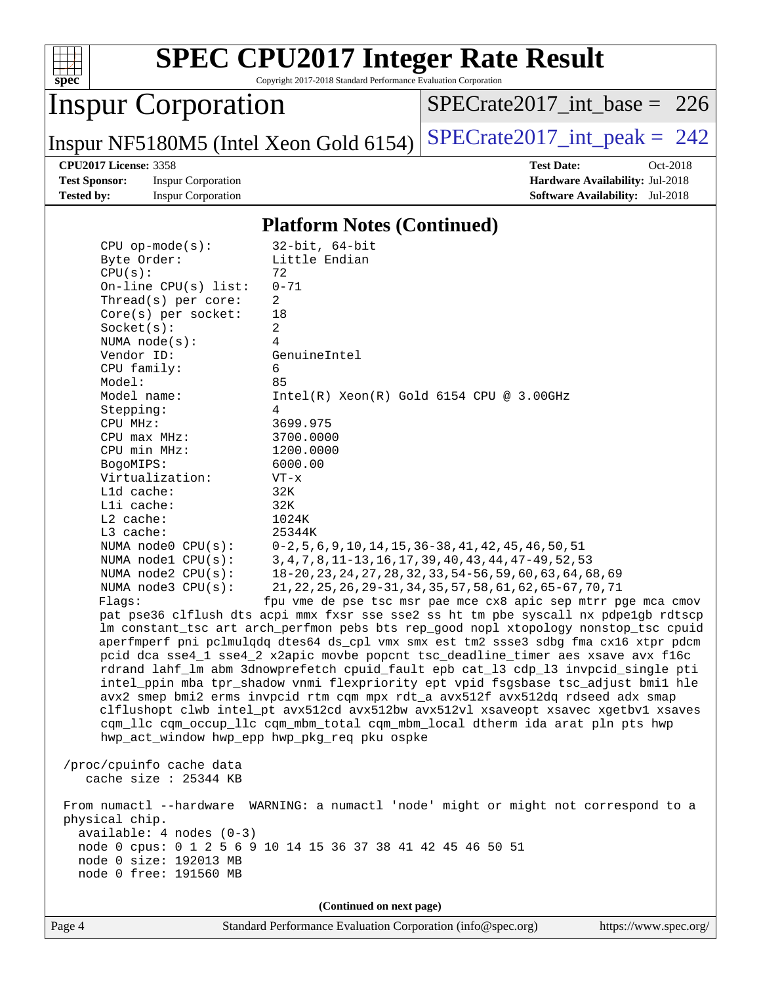

Copyright 2017-2018 Standard Performance Evaluation Corporation

## Inspur Corporation

[SPECrate2017\\_int\\_base =](http://www.spec.org/auto/cpu2017/Docs/result-fields.html#SPECrate2017intbase) 226

Inspur NF5180M5 (Intel Xeon Gold 6154)  $SPECrate2017\_int\_peak = 242$ 

**[Test Sponsor:](http://www.spec.org/auto/cpu2017/Docs/result-fields.html#TestSponsor)** Inspur Corporation **[Hardware Availability:](http://www.spec.org/auto/cpu2017/Docs/result-fields.html#HardwareAvailability)** Jul-2018 **[Tested by:](http://www.spec.org/auto/cpu2017/Docs/result-fields.html#Testedby)** Inspur Corporation **[Software Availability:](http://www.spec.org/auto/cpu2017/Docs/result-fields.html#SoftwareAvailability)** Jul-2018

**[CPU2017 License:](http://www.spec.org/auto/cpu2017/Docs/result-fields.html#CPU2017License)** 3358 **[Test Date:](http://www.spec.org/auto/cpu2017/Docs/result-fields.html#TestDate)** Oct-2018

#### **[Platform Notes \(Continued\)](http://www.spec.org/auto/cpu2017/Docs/result-fields.html#PlatformNotes)**

| $CPU$ op-mode( $s$ ):                                                                                                                                                      | $32$ -bit, $64$ -bit                                                               |  |  |  |
|----------------------------------------------------------------------------------------------------------------------------------------------------------------------------|------------------------------------------------------------------------------------|--|--|--|
| Byte Order:                                                                                                                                                                | Little Endian                                                                      |  |  |  |
| CPU(s):                                                                                                                                                                    | 72                                                                                 |  |  |  |
| On-line $CPU(s)$ list:                                                                                                                                                     | $0 - 71$                                                                           |  |  |  |
| Thread(s) per core:                                                                                                                                                        | $\overline{2}$                                                                     |  |  |  |
| $Core(s)$ per socket:                                                                                                                                                      | 18                                                                                 |  |  |  |
| Socket(s):<br>NUMA $node(s):$                                                                                                                                              | $\overline{a}$<br>4                                                                |  |  |  |
| Vendor ID:                                                                                                                                                                 | GenuineIntel                                                                       |  |  |  |
| CPU family:                                                                                                                                                                | 6                                                                                  |  |  |  |
| Model:                                                                                                                                                                     | 85                                                                                 |  |  |  |
| Model name:                                                                                                                                                                | $Intel(R) Xeon(R) Gold 6154 CPU @ 3.00GHz$                                         |  |  |  |
| Stepping:                                                                                                                                                                  | 4                                                                                  |  |  |  |
| CPU MHz:                                                                                                                                                                   | 3699.975                                                                           |  |  |  |
| CPU max MHz:                                                                                                                                                               | 3700.0000                                                                          |  |  |  |
| CPU min MHz:                                                                                                                                                               | 1200.0000                                                                          |  |  |  |
| BogoMIPS:                                                                                                                                                                  | 6000.00                                                                            |  |  |  |
| Virtualization:                                                                                                                                                            | $VT - x$                                                                           |  |  |  |
| L1d cache:                                                                                                                                                                 | 32K                                                                                |  |  |  |
| Lli cache:                                                                                                                                                                 | 32K                                                                                |  |  |  |
| $L2$ cache:                                                                                                                                                                | 1024K                                                                              |  |  |  |
| L3 cache:                                                                                                                                                                  | 25344K                                                                             |  |  |  |
| NUMA node0 CPU(s):                                                                                                                                                         | $0-2, 5, 6, 9, 10, 14, 15, 36-38, 41, 42, 45, 46, 50, 51$                          |  |  |  |
| NUMA $node1$ $CPU(s):$                                                                                                                                                     | 3, 4, 7, 8, 11-13, 16, 17, 39, 40, 43, 44, 47-49, 52, 53                           |  |  |  |
| NUMA $node2$ $CPU(s):$                                                                                                                                                     | 18-20, 23, 24, 27, 28, 32, 33, 54-56, 59, 60, 63, 64, 68, 69                       |  |  |  |
| NUMA $node3$ CPU $(s)$ :                                                                                                                                                   | 21, 22, 25, 26, 29-31, 34, 35, 57, 58, 61, 62, 65-67, 70, 71                       |  |  |  |
| Flags:                                                                                                                                                                     | fpu vme de pse tsc msr pae mce cx8 apic sep mtrr pge mca cmov                      |  |  |  |
| pat pse36 clflush dts acpi mmx fxsr sse sse2 ss ht tm pbe syscall nx pdpelgb rdtscp<br>lm constant_tsc art arch_perfmon pebs bts rep_good nopl xtopology nonstop_tsc cpuid |                                                                                    |  |  |  |
| aperfmperf pni pclmulqdq dtes64 ds_cpl vmx smx est tm2 ssse3 sdbg fma cx16 xtpr pdcm                                                                                       |                                                                                    |  |  |  |
| pcid dca sse4_1 sse4_2 x2apic movbe popcnt tsc_deadline_timer aes xsave avx f16c                                                                                           |                                                                                    |  |  |  |
| rdrand lahf_lm abm 3dnowprefetch cpuid_fault epb cat_13 cdp_13 invpcid_single pti                                                                                          |                                                                                    |  |  |  |
| intel_ppin mba tpr_shadow vnmi flexpriority ept vpid fsgsbase tsc_adjust bmil hle                                                                                          |                                                                                    |  |  |  |
| avx2 smep bmi2 erms invpcid rtm cqm mpx rdt_a avx512f avx512dq rdseed adx smap                                                                                             |                                                                                    |  |  |  |
|                                                                                                                                                                            | clflushopt clwb intel_pt avx512cd avx512bw avx512vl xsaveopt xsavec xgetbvl xsaves |  |  |  |
|                                                                                                                                                                            | cqm_llc cqm_occup_llc cqm_mbm_total cqm_mbm_local dtherm ida arat pln pts hwp      |  |  |  |
|                                                                                                                                                                            | hwp_act_window hwp_epp hwp_pkg_req pku ospke                                       |  |  |  |
|                                                                                                                                                                            |                                                                                    |  |  |  |
| /proc/cpuinfo cache data                                                                                                                                                   |                                                                                    |  |  |  |
| cache size $: 25344$ KB                                                                                                                                                    |                                                                                    |  |  |  |
|                                                                                                                                                                            |                                                                                    |  |  |  |
| From numactl --hardware WARNING: a numactl 'node' might or might not correspond to a<br>physical chip.                                                                     |                                                                                    |  |  |  |
| $available: 4 nodes (0-3)$                                                                                                                                                 |                                                                                    |  |  |  |
| node 0 cpus: 0 1 2 5 6 9 10 14 15 36 37 38 41 42 45 46 50 51                                                                                                               |                                                                                    |  |  |  |
| node 0 size: 192013 MB                                                                                                                                                     |                                                                                    |  |  |  |
| node 0 free: 191560 MB                                                                                                                                                     |                                                                                    |  |  |  |
|                                                                                                                                                                            |                                                                                    |  |  |  |
| (Continued on next page)                                                                                                                                                   |                                                                                    |  |  |  |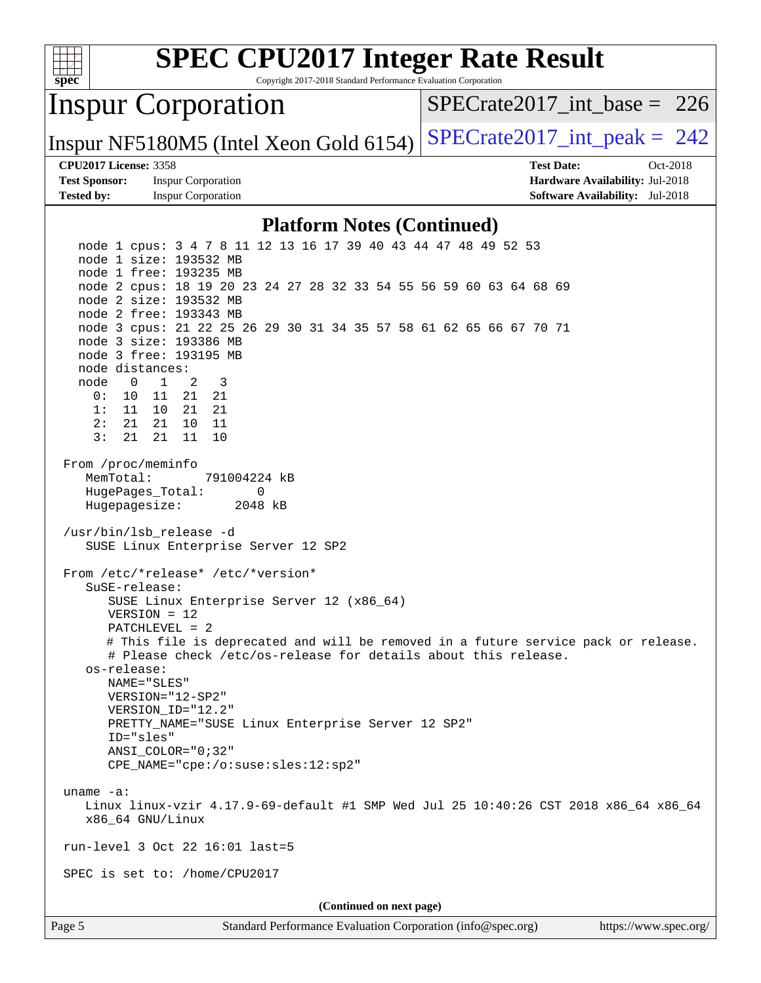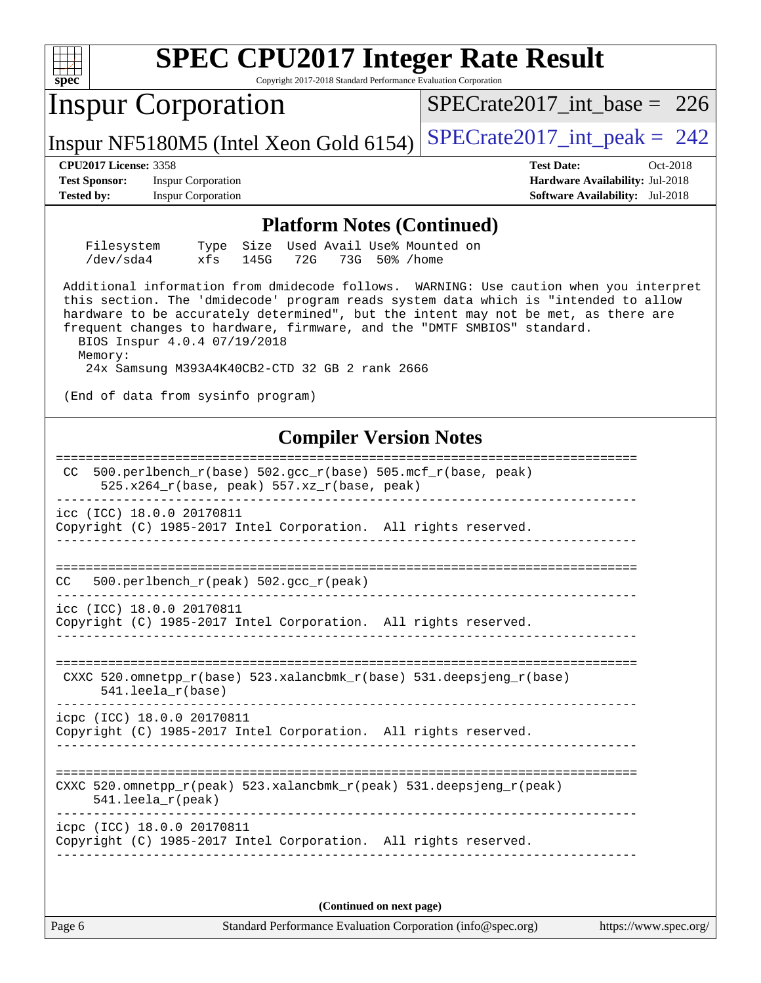| <b>SPEC CPU2017 Integer Rate Result</b><br>Spec<br>Copyright 2017-2018 Standard Performance Evaluation Corporation                                                                                                                                                                                                                                                                                                                                                                |                                                                                                            |  |  |  |  |
|-----------------------------------------------------------------------------------------------------------------------------------------------------------------------------------------------------------------------------------------------------------------------------------------------------------------------------------------------------------------------------------------------------------------------------------------------------------------------------------|------------------------------------------------------------------------------------------------------------|--|--|--|--|
| <b>Inspur Corporation</b>                                                                                                                                                                                                                                                                                                                                                                                                                                                         | $SPECrate2017\_int\_base = 226$                                                                            |  |  |  |  |
| Inspur NF5180M5 (Intel Xeon Gold 6154)                                                                                                                                                                                                                                                                                                                                                                                                                                            | $SPECrate2017\_int\_peak = 242$                                                                            |  |  |  |  |
| <b>CPU2017 License: 3358</b><br><b>Test Sponsor:</b><br><b>Inspur Corporation</b><br><b>Tested by:</b><br><b>Inspur Corporation</b>                                                                                                                                                                                                                                                                                                                                               | <b>Test Date:</b><br>Oct-2018<br>Hardware Availability: Jul-2018<br><b>Software Availability:</b> Jul-2018 |  |  |  |  |
| <b>Platform Notes (Continued)</b>                                                                                                                                                                                                                                                                                                                                                                                                                                                 |                                                                                                            |  |  |  |  |
| Used Avail Use% Mounted on<br>Filesystem<br>Size<br>Type<br>/dev/sda4<br>xfs<br>72G<br>145G<br>73G 50% / home                                                                                                                                                                                                                                                                                                                                                                     |                                                                                                            |  |  |  |  |
| Additional information from dmidecode follows. WARNING: Use caution when you interpret<br>this section. The 'dmidecode' program reads system data which is "intended to allow<br>hardware to be accurately determined", but the intent may not be met, as there are<br>frequent changes to hardware, firmware, and the "DMTF SMBIOS" standard.<br>BIOS Inspur 4.0.4 07/19/2018<br>Memory:<br>24x Samsung M393A4K40CB2-CTD 32 GB 2 rank 2666<br>(End of data from sysinfo program) |                                                                                                            |  |  |  |  |
| <b>Compiler Version Notes</b>                                                                                                                                                                                                                                                                                                                                                                                                                                                     |                                                                                                            |  |  |  |  |
| $500. perlbench_r(base) 502. gcc_r(base) 505.mcf_r(base, peak)$<br>CC.<br>525.x264_r(base, peak) 557.xz_r(base, peak)<br>icc (ICC) 18.0.0 20170811<br>Copyright (C) 1985-2017 Intel Corporation. All rights reserved.                                                                                                                                                                                                                                                             |                                                                                                            |  |  |  |  |
| CC<br>500.perlbench_r(peak) 502.gcc_r(peak)                                                                                                                                                                                                                                                                                                                                                                                                                                       |                                                                                                            |  |  |  |  |
| icc (ICC) 18.0.0 20170811<br>Copyright (C) 1985-2017 Intel Corporation. All rights reserved.                                                                                                                                                                                                                                                                                                                                                                                      |                                                                                                            |  |  |  |  |
| CXXC 520.omnetpp_r(base) 523.xalancbmk_r(base) 531.deepsjeng_r(base)<br>$541.$ leela $r(base)$                                                                                                                                                                                                                                                                                                                                                                                    |                                                                                                            |  |  |  |  |
| icpc (ICC) 18.0.0 20170811<br>Copyright (C) 1985-2017 Intel Corporation. All rights reserved.                                                                                                                                                                                                                                                                                                                                                                                     |                                                                                                            |  |  |  |  |
| CXXC 520.omnetpp_r(peak) 523.xalancbmk_r(peak) 531.deepsjeng_r(peak)<br>$541.$ leela r(peak)                                                                                                                                                                                                                                                                                                                                                                                      |                                                                                                            |  |  |  |  |
| icpc (ICC) 18.0.0 20170811<br>Copyright (C) 1985-2017 Intel Corporation. All rights reserved.                                                                                                                                                                                                                                                                                                                                                                                     |                                                                                                            |  |  |  |  |
| (Continued on next page)                                                                                                                                                                                                                                                                                                                                                                                                                                                          |                                                                                                            |  |  |  |  |

Page 6 Standard Performance Evaluation Corporation [\(info@spec.org\)](mailto:info@spec.org) <https://www.spec.org/>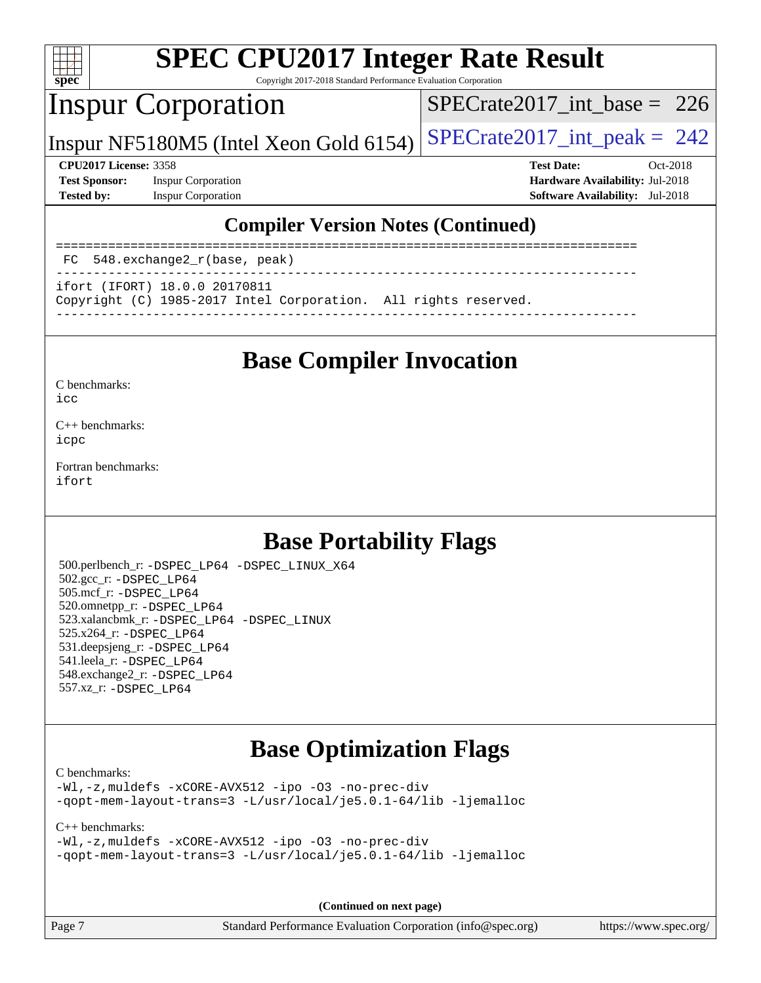

Copyright 2017-2018 Standard Performance Evaluation Corporation

## Inspur Corporation

[SPECrate2017\\_int\\_base =](http://www.spec.org/auto/cpu2017/Docs/result-fields.html#SPECrate2017intbase) 226

Inspur NF5180M5 (Intel Xeon Gold 6154)  $SPECrate2017\_int\_peak = 242$ 

**[Test Sponsor:](http://www.spec.org/auto/cpu2017/Docs/result-fields.html#TestSponsor)** Inspur Corporation **[Hardware Availability:](http://www.spec.org/auto/cpu2017/Docs/result-fields.html#HardwareAvailability)** Jul-2018 **[Tested by:](http://www.spec.org/auto/cpu2017/Docs/result-fields.html#Testedby)** Inspur Corporation **[Software Availability:](http://www.spec.org/auto/cpu2017/Docs/result-fields.html#SoftwareAvailability)** Jul-2018

**[CPU2017 License:](http://www.spec.org/auto/cpu2017/Docs/result-fields.html#CPU2017License)** 3358 **[Test Date:](http://www.spec.org/auto/cpu2017/Docs/result-fields.html#TestDate)** Oct-2018

#### **[Compiler Version Notes \(Continued\)](http://www.spec.org/auto/cpu2017/Docs/result-fields.html#CompilerVersionNotes)**

============================================================================== FC 548.exchange2\_r(base, peak)

------------------------------------------------------------------------------

ifort (IFORT) 18.0.0 20170811

Copyright (C) 1985-2017 Intel Corporation. All rights reserved.

------------------------------------------------------------------------------

## **[Base Compiler Invocation](http://www.spec.org/auto/cpu2017/Docs/result-fields.html#BaseCompilerInvocation)**

[C benchmarks](http://www.spec.org/auto/cpu2017/Docs/result-fields.html#Cbenchmarks):

[icc](http://www.spec.org/cpu2017/results/res2018q4/cpu2017-20181105-09480.flags.html#user_CCbase_intel_icc_18.0_66fc1ee009f7361af1fbd72ca7dcefbb700085f36577c54f309893dd4ec40d12360134090235512931783d35fd58c0460139e722d5067c5574d8eaf2b3e37e92)

[C++ benchmarks:](http://www.spec.org/auto/cpu2017/Docs/result-fields.html#CXXbenchmarks) [icpc](http://www.spec.org/cpu2017/results/res2018q4/cpu2017-20181105-09480.flags.html#user_CXXbase_intel_icpc_18.0_c510b6838c7f56d33e37e94d029a35b4a7bccf4766a728ee175e80a419847e808290a9b78be685c44ab727ea267ec2f070ec5dc83b407c0218cded6866a35d07)

[Fortran benchmarks](http://www.spec.org/auto/cpu2017/Docs/result-fields.html#Fortranbenchmarks): [ifort](http://www.spec.org/cpu2017/results/res2018q4/cpu2017-20181105-09480.flags.html#user_FCbase_intel_ifort_18.0_8111460550e3ca792625aed983ce982f94888b8b503583aa7ba2b8303487b4d8a21a13e7191a45c5fd58ff318f48f9492884d4413fa793fd88dd292cad7027ca)

## **[Base Portability Flags](http://www.spec.org/auto/cpu2017/Docs/result-fields.html#BasePortabilityFlags)**

 500.perlbench\_r: [-DSPEC\\_LP64](http://www.spec.org/cpu2017/results/res2018q4/cpu2017-20181105-09480.flags.html#b500.perlbench_r_basePORTABILITY_DSPEC_LP64) [-DSPEC\\_LINUX\\_X64](http://www.spec.org/cpu2017/results/res2018q4/cpu2017-20181105-09480.flags.html#b500.perlbench_r_baseCPORTABILITY_DSPEC_LINUX_X64) 502.gcc\_r: [-DSPEC\\_LP64](http://www.spec.org/cpu2017/results/res2018q4/cpu2017-20181105-09480.flags.html#suite_basePORTABILITY502_gcc_r_DSPEC_LP64) 505.mcf\_r: [-DSPEC\\_LP64](http://www.spec.org/cpu2017/results/res2018q4/cpu2017-20181105-09480.flags.html#suite_basePORTABILITY505_mcf_r_DSPEC_LP64) 520.omnetpp\_r: [-DSPEC\\_LP64](http://www.spec.org/cpu2017/results/res2018q4/cpu2017-20181105-09480.flags.html#suite_basePORTABILITY520_omnetpp_r_DSPEC_LP64) 523.xalancbmk\_r: [-DSPEC\\_LP64](http://www.spec.org/cpu2017/results/res2018q4/cpu2017-20181105-09480.flags.html#suite_basePORTABILITY523_xalancbmk_r_DSPEC_LP64) [-DSPEC\\_LINUX](http://www.spec.org/cpu2017/results/res2018q4/cpu2017-20181105-09480.flags.html#b523.xalancbmk_r_baseCXXPORTABILITY_DSPEC_LINUX) 525.x264\_r: [-DSPEC\\_LP64](http://www.spec.org/cpu2017/results/res2018q4/cpu2017-20181105-09480.flags.html#suite_basePORTABILITY525_x264_r_DSPEC_LP64) 531.deepsjeng\_r: [-DSPEC\\_LP64](http://www.spec.org/cpu2017/results/res2018q4/cpu2017-20181105-09480.flags.html#suite_basePORTABILITY531_deepsjeng_r_DSPEC_LP64) 541.leela\_r: [-DSPEC\\_LP64](http://www.spec.org/cpu2017/results/res2018q4/cpu2017-20181105-09480.flags.html#suite_basePORTABILITY541_leela_r_DSPEC_LP64) 548.exchange2\_r: [-DSPEC\\_LP64](http://www.spec.org/cpu2017/results/res2018q4/cpu2017-20181105-09480.flags.html#suite_basePORTABILITY548_exchange2_r_DSPEC_LP64) 557.xz\_r: [-DSPEC\\_LP64](http://www.spec.org/cpu2017/results/res2018q4/cpu2017-20181105-09480.flags.html#suite_basePORTABILITY557_xz_r_DSPEC_LP64)

## **[Base Optimization Flags](http://www.spec.org/auto/cpu2017/Docs/result-fields.html#BaseOptimizationFlags)**

[C benchmarks](http://www.spec.org/auto/cpu2017/Docs/result-fields.html#Cbenchmarks):

[-Wl,-z,muldefs](http://www.spec.org/cpu2017/results/res2018q4/cpu2017-20181105-09480.flags.html#user_CCbase_link_force_multiple1_b4cbdb97b34bdee9ceefcfe54f4c8ea74255f0b02a4b23e853cdb0e18eb4525ac79b5a88067c842dd0ee6996c24547a27a4b99331201badda8798ef8a743f577) [-xCORE-AVX512](http://www.spec.org/cpu2017/results/res2018q4/cpu2017-20181105-09480.flags.html#user_CCbase_f-xCORE-AVX512) [-ipo](http://www.spec.org/cpu2017/results/res2018q4/cpu2017-20181105-09480.flags.html#user_CCbase_f-ipo) [-O3](http://www.spec.org/cpu2017/results/res2018q4/cpu2017-20181105-09480.flags.html#user_CCbase_f-O3) [-no-prec-div](http://www.spec.org/cpu2017/results/res2018q4/cpu2017-20181105-09480.flags.html#user_CCbase_f-no-prec-div) [-qopt-mem-layout-trans=3](http://www.spec.org/cpu2017/results/res2018q4/cpu2017-20181105-09480.flags.html#user_CCbase_f-qopt-mem-layout-trans_de80db37974c74b1f0e20d883f0b675c88c3b01e9d123adea9b28688d64333345fb62bc4a798493513fdb68f60282f9a726aa07f478b2f7113531aecce732043) [-L/usr/local/je5.0.1-64/lib](http://www.spec.org/cpu2017/results/res2018q4/cpu2017-20181105-09480.flags.html#user_CCbase_jemalloc_link_path64_4b10a636b7bce113509b17f3bd0d6226c5fb2346b9178c2d0232c14f04ab830f976640479e5c33dc2bcbbdad86ecfb6634cbbd4418746f06f368b512fced5394) [-ljemalloc](http://www.spec.org/cpu2017/results/res2018q4/cpu2017-20181105-09480.flags.html#user_CCbase_jemalloc_link_lib_d1249b907c500fa1c0672f44f562e3d0f79738ae9e3c4a9c376d49f265a04b9c99b167ecedbf6711b3085be911c67ff61f150a17b3472be731631ba4d0471706)

#### [C++ benchmarks:](http://www.spec.org/auto/cpu2017/Docs/result-fields.html#CXXbenchmarks)

```
-Wl,-z,muldefs -xCORE-AVX512 -ipo -O3 -no-prec-div
-qopt-mem-layout-trans=3 -L/usr/local/je5.0.1-64/lib -ljemalloc
```
**(Continued on next page)**

Page 7 Standard Performance Evaluation Corporation [\(info@spec.org\)](mailto:info@spec.org) <https://www.spec.org/>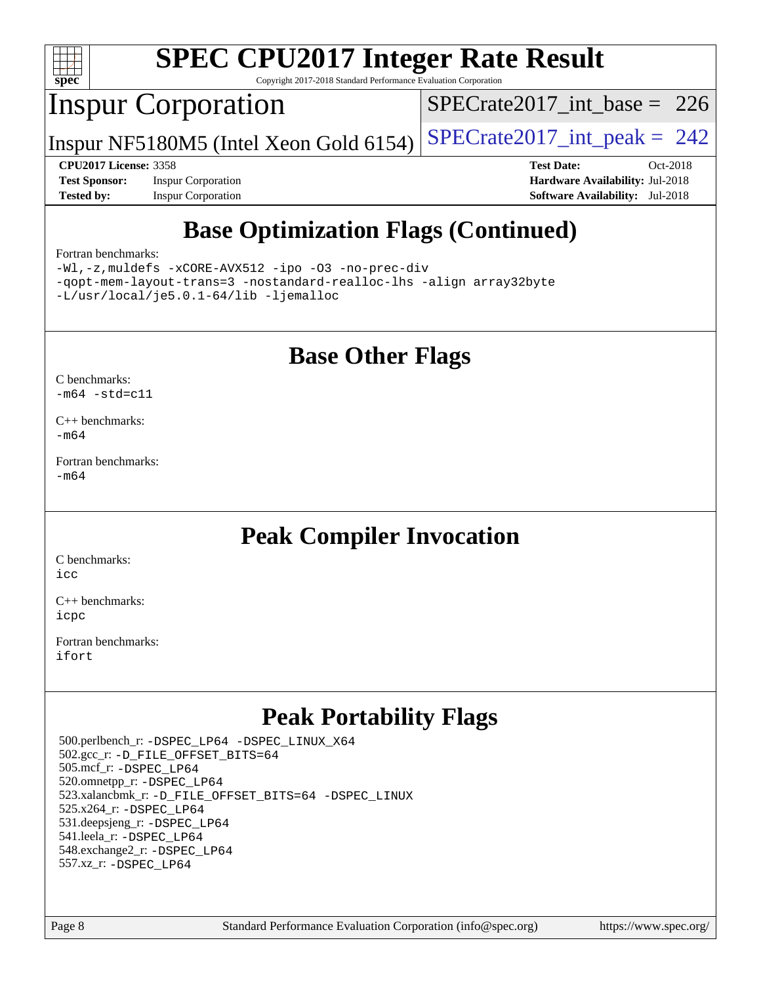

Copyright 2017-2018 Standard Performance Evaluation Corporation

## Inspur Corporation

[SPECrate2017\\_int\\_base =](http://www.spec.org/auto/cpu2017/Docs/result-fields.html#SPECrate2017intbase) 226

Inspur NF5180M5 (Intel Xeon Gold 6154)  $SPECrate2017\_int\_peak = 242$ 

**[Test Sponsor:](http://www.spec.org/auto/cpu2017/Docs/result-fields.html#TestSponsor)** Inspur Corporation **[Hardware Availability:](http://www.spec.org/auto/cpu2017/Docs/result-fields.html#HardwareAvailability)** Jul-2018 **[Tested by:](http://www.spec.org/auto/cpu2017/Docs/result-fields.html#Testedby)** Inspur Corporation **[Software Availability:](http://www.spec.org/auto/cpu2017/Docs/result-fields.html#SoftwareAvailability)** Jul-2018

**[CPU2017 License:](http://www.spec.org/auto/cpu2017/Docs/result-fields.html#CPU2017License)** 3358 **[Test Date:](http://www.spec.org/auto/cpu2017/Docs/result-fields.html#TestDate)** Oct-2018

## **[Base Optimization Flags \(Continued\)](http://www.spec.org/auto/cpu2017/Docs/result-fields.html#BaseOptimizationFlags)**

#### [Fortran benchmarks](http://www.spec.org/auto/cpu2017/Docs/result-fields.html#Fortranbenchmarks):

[-Wl,-z,muldefs](http://www.spec.org/cpu2017/results/res2018q4/cpu2017-20181105-09480.flags.html#user_FCbase_link_force_multiple1_b4cbdb97b34bdee9ceefcfe54f4c8ea74255f0b02a4b23e853cdb0e18eb4525ac79b5a88067c842dd0ee6996c24547a27a4b99331201badda8798ef8a743f577) [-xCORE-AVX512](http://www.spec.org/cpu2017/results/res2018q4/cpu2017-20181105-09480.flags.html#user_FCbase_f-xCORE-AVX512) [-ipo](http://www.spec.org/cpu2017/results/res2018q4/cpu2017-20181105-09480.flags.html#user_FCbase_f-ipo) [-O3](http://www.spec.org/cpu2017/results/res2018q4/cpu2017-20181105-09480.flags.html#user_FCbase_f-O3) [-no-prec-div](http://www.spec.org/cpu2017/results/res2018q4/cpu2017-20181105-09480.flags.html#user_FCbase_f-no-prec-div) [-qopt-mem-layout-trans=3](http://www.spec.org/cpu2017/results/res2018q4/cpu2017-20181105-09480.flags.html#user_FCbase_f-qopt-mem-layout-trans_de80db37974c74b1f0e20d883f0b675c88c3b01e9d123adea9b28688d64333345fb62bc4a798493513fdb68f60282f9a726aa07f478b2f7113531aecce732043) [-nostandard-realloc-lhs](http://www.spec.org/cpu2017/results/res2018q4/cpu2017-20181105-09480.flags.html#user_FCbase_f_2003_std_realloc_82b4557e90729c0f113870c07e44d33d6f5a304b4f63d4c15d2d0f1fab99f5daaed73bdb9275d9ae411527f28b936061aa8b9c8f2d63842963b95c9dd6426b8a) [-align array32byte](http://www.spec.org/cpu2017/results/res2018q4/cpu2017-20181105-09480.flags.html#user_FCbase_align_array32byte_b982fe038af199962ba9a80c053b8342c548c85b40b8e86eb3cc33dee0d7986a4af373ac2d51c3f7cf710a18d62fdce2948f201cd044323541f22fc0fffc51b6) [-L/usr/local/je5.0.1-64/lib](http://www.spec.org/cpu2017/results/res2018q4/cpu2017-20181105-09480.flags.html#user_FCbase_jemalloc_link_path64_4b10a636b7bce113509b17f3bd0d6226c5fb2346b9178c2d0232c14f04ab830f976640479e5c33dc2bcbbdad86ecfb6634cbbd4418746f06f368b512fced5394) [-ljemalloc](http://www.spec.org/cpu2017/results/res2018q4/cpu2017-20181105-09480.flags.html#user_FCbase_jemalloc_link_lib_d1249b907c500fa1c0672f44f562e3d0f79738ae9e3c4a9c376d49f265a04b9c99b167ecedbf6711b3085be911c67ff61f150a17b3472be731631ba4d0471706)

### **[Base Other Flags](http://www.spec.org/auto/cpu2017/Docs/result-fields.html#BaseOtherFlags)**

[C benchmarks](http://www.spec.org/auto/cpu2017/Docs/result-fields.html#Cbenchmarks):  $-m64 - std= c11$  $-m64 - std= c11$ 

[C++ benchmarks:](http://www.spec.org/auto/cpu2017/Docs/result-fields.html#CXXbenchmarks) [-m64](http://www.spec.org/cpu2017/results/res2018q4/cpu2017-20181105-09480.flags.html#user_CXXbase_intel_intel64_18.0_af43caccfc8ded86e7699f2159af6efc7655f51387b94da716254467f3c01020a5059329e2569e4053f409e7c9202a7efc638f7a6d1ffb3f52dea4a3e31d82ab)

[Fortran benchmarks](http://www.spec.org/auto/cpu2017/Docs/result-fields.html#Fortranbenchmarks): [-m64](http://www.spec.org/cpu2017/results/res2018q4/cpu2017-20181105-09480.flags.html#user_FCbase_intel_intel64_18.0_af43caccfc8ded86e7699f2159af6efc7655f51387b94da716254467f3c01020a5059329e2569e4053f409e7c9202a7efc638f7a6d1ffb3f52dea4a3e31d82ab)

### **[Peak Compiler Invocation](http://www.spec.org/auto/cpu2017/Docs/result-fields.html#PeakCompilerInvocation)**

[C benchmarks](http://www.spec.org/auto/cpu2017/Docs/result-fields.html#Cbenchmarks): [icc](http://www.spec.org/cpu2017/results/res2018q4/cpu2017-20181105-09480.flags.html#user_CCpeak_intel_icc_18.0_66fc1ee009f7361af1fbd72ca7dcefbb700085f36577c54f309893dd4ec40d12360134090235512931783d35fd58c0460139e722d5067c5574d8eaf2b3e37e92)

[C++ benchmarks:](http://www.spec.org/auto/cpu2017/Docs/result-fields.html#CXXbenchmarks) [icpc](http://www.spec.org/cpu2017/results/res2018q4/cpu2017-20181105-09480.flags.html#user_CXXpeak_intel_icpc_18.0_c510b6838c7f56d33e37e94d029a35b4a7bccf4766a728ee175e80a419847e808290a9b78be685c44ab727ea267ec2f070ec5dc83b407c0218cded6866a35d07)

[Fortran benchmarks](http://www.spec.org/auto/cpu2017/Docs/result-fields.html#Fortranbenchmarks): [ifort](http://www.spec.org/cpu2017/results/res2018q4/cpu2017-20181105-09480.flags.html#user_FCpeak_intel_ifort_18.0_8111460550e3ca792625aed983ce982f94888b8b503583aa7ba2b8303487b4d8a21a13e7191a45c5fd58ff318f48f9492884d4413fa793fd88dd292cad7027ca)

## **[Peak Portability Flags](http://www.spec.org/auto/cpu2017/Docs/result-fields.html#PeakPortabilityFlags)**

 500.perlbench\_r: [-DSPEC\\_LP64](http://www.spec.org/cpu2017/results/res2018q4/cpu2017-20181105-09480.flags.html#b500.perlbench_r_peakPORTABILITY_DSPEC_LP64) [-DSPEC\\_LINUX\\_X64](http://www.spec.org/cpu2017/results/res2018q4/cpu2017-20181105-09480.flags.html#b500.perlbench_r_peakCPORTABILITY_DSPEC_LINUX_X64) 502.gcc\_r: [-D\\_FILE\\_OFFSET\\_BITS=64](http://www.spec.org/cpu2017/results/res2018q4/cpu2017-20181105-09480.flags.html#user_peakPORTABILITY502_gcc_r_file_offset_bits_64_5ae949a99b284ddf4e95728d47cb0843d81b2eb0e18bdfe74bbf0f61d0b064f4bda2f10ea5eb90e1dcab0e84dbc592acfc5018bc955c18609f94ddb8d550002c) 505.mcf\_r: [-DSPEC\\_LP64](http://www.spec.org/cpu2017/results/res2018q4/cpu2017-20181105-09480.flags.html#suite_peakPORTABILITY505_mcf_r_DSPEC_LP64) 520.omnetpp\_r: [-DSPEC\\_LP64](http://www.spec.org/cpu2017/results/res2018q4/cpu2017-20181105-09480.flags.html#suite_peakPORTABILITY520_omnetpp_r_DSPEC_LP64) 523.xalancbmk\_r: [-D\\_FILE\\_OFFSET\\_BITS=64](http://www.spec.org/cpu2017/results/res2018q4/cpu2017-20181105-09480.flags.html#user_peakPORTABILITY523_xalancbmk_r_file_offset_bits_64_5ae949a99b284ddf4e95728d47cb0843d81b2eb0e18bdfe74bbf0f61d0b064f4bda2f10ea5eb90e1dcab0e84dbc592acfc5018bc955c18609f94ddb8d550002c) [-DSPEC\\_LINUX](http://www.spec.org/cpu2017/results/res2018q4/cpu2017-20181105-09480.flags.html#b523.xalancbmk_r_peakCXXPORTABILITY_DSPEC_LINUX) 525.x264\_r: [-DSPEC\\_LP64](http://www.spec.org/cpu2017/results/res2018q4/cpu2017-20181105-09480.flags.html#suite_peakPORTABILITY525_x264_r_DSPEC_LP64) 531.deepsjeng\_r: [-DSPEC\\_LP64](http://www.spec.org/cpu2017/results/res2018q4/cpu2017-20181105-09480.flags.html#suite_peakPORTABILITY531_deepsjeng_r_DSPEC_LP64) 541.leela\_r: [-DSPEC\\_LP64](http://www.spec.org/cpu2017/results/res2018q4/cpu2017-20181105-09480.flags.html#suite_peakPORTABILITY541_leela_r_DSPEC_LP64) 548.exchange2\_r: [-DSPEC\\_LP64](http://www.spec.org/cpu2017/results/res2018q4/cpu2017-20181105-09480.flags.html#suite_peakPORTABILITY548_exchange2_r_DSPEC_LP64) 557.xz\_r: [-DSPEC\\_LP64](http://www.spec.org/cpu2017/results/res2018q4/cpu2017-20181105-09480.flags.html#suite_peakPORTABILITY557_xz_r_DSPEC_LP64)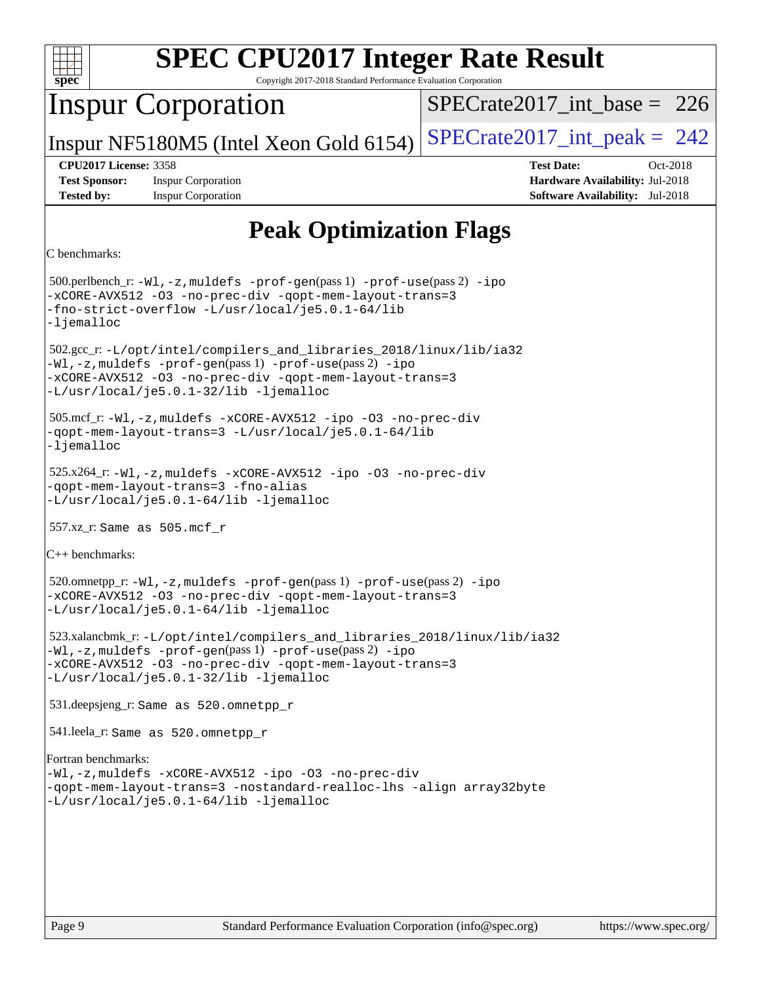

Copyright 2017-2018 Standard Performance Evaluation Corporation

## Inspur Corporation

 $SPECrate2017\_int\_base = 226$ 

Inspur NF5180M5 (Intel Xeon Gold 6154)  $SPECrate2017\_int\_peak = 242$ 

**[Test Sponsor:](http://www.spec.org/auto/cpu2017/Docs/result-fields.html#TestSponsor)** Inspur Corporation **[Hardware Availability:](http://www.spec.org/auto/cpu2017/Docs/result-fields.html#HardwareAvailability)** Jul-2018 **[Tested by:](http://www.spec.org/auto/cpu2017/Docs/result-fields.html#Testedby)** Inspur Corporation **[Software Availability:](http://www.spec.org/auto/cpu2017/Docs/result-fields.html#SoftwareAvailability)** Jul-2018

**[CPU2017 License:](http://www.spec.org/auto/cpu2017/Docs/result-fields.html#CPU2017License)** 3358 **[Test Date:](http://www.spec.org/auto/cpu2017/Docs/result-fields.html#TestDate)** Oct-2018

## **[Peak Optimization Flags](http://www.spec.org/auto/cpu2017/Docs/result-fields.html#PeakOptimizationFlags)**

```
C benchmarks:
```
 500.perlbench\_r: [-Wl,-z,muldefs](http://www.spec.org/cpu2017/results/res2018q4/cpu2017-20181105-09480.flags.html#user_peakEXTRA_LDFLAGS500_perlbench_r_link_force_multiple1_b4cbdb97b34bdee9ceefcfe54f4c8ea74255f0b02a4b23e853cdb0e18eb4525ac79b5a88067c842dd0ee6996c24547a27a4b99331201badda8798ef8a743f577) [-prof-gen](http://www.spec.org/cpu2017/results/res2018q4/cpu2017-20181105-09480.flags.html#user_peakPASS1_CFLAGSPASS1_LDFLAGS500_perlbench_r_prof_gen_5aa4926d6013ddb2a31985c654b3eb18169fc0c6952a63635c234f711e6e63dd76e94ad52365559451ec499a2cdb89e4dc58ba4c67ef54ca681ffbe1461d6b36)(pass 1) [-prof-use](http://www.spec.org/cpu2017/results/res2018q4/cpu2017-20181105-09480.flags.html#user_peakPASS2_CFLAGSPASS2_LDFLAGS500_perlbench_r_prof_use_1a21ceae95f36a2b53c25747139a6c16ca95bd9def2a207b4f0849963b97e94f5260e30a0c64f4bb623698870e679ca08317ef8150905d41bd88c6f78df73f19)(pass 2) [-ipo](http://www.spec.org/cpu2017/results/res2018q4/cpu2017-20181105-09480.flags.html#user_peakPASS1_COPTIMIZEPASS2_COPTIMIZE500_perlbench_r_f-ipo) [-xCORE-AVX512](http://www.spec.org/cpu2017/results/res2018q4/cpu2017-20181105-09480.flags.html#user_peakPASS2_COPTIMIZE500_perlbench_r_f-xCORE-AVX512) [-O3](http://www.spec.org/cpu2017/results/res2018q4/cpu2017-20181105-09480.flags.html#user_peakPASS1_COPTIMIZEPASS2_COPTIMIZE500_perlbench_r_f-O3) [-no-prec-div](http://www.spec.org/cpu2017/results/res2018q4/cpu2017-20181105-09480.flags.html#user_peakPASS1_COPTIMIZEPASS2_COPTIMIZE500_perlbench_r_f-no-prec-div) [-qopt-mem-layout-trans=3](http://www.spec.org/cpu2017/results/res2018q4/cpu2017-20181105-09480.flags.html#user_peakPASS1_COPTIMIZEPASS2_COPTIMIZE500_perlbench_r_f-qopt-mem-layout-trans_de80db37974c74b1f0e20d883f0b675c88c3b01e9d123adea9b28688d64333345fb62bc4a798493513fdb68f60282f9a726aa07f478b2f7113531aecce732043) [-fno-strict-overflow](http://www.spec.org/cpu2017/results/res2018q4/cpu2017-20181105-09480.flags.html#user_peakEXTRA_OPTIMIZE500_perlbench_r_f-fno-strict-overflow) [-L/usr/local/je5.0.1-64/lib](http://www.spec.org/cpu2017/results/res2018q4/cpu2017-20181105-09480.flags.html#user_peakEXTRA_LIBS500_perlbench_r_jemalloc_link_path64_4b10a636b7bce113509b17f3bd0d6226c5fb2346b9178c2d0232c14f04ab830f976640479e5c33dc2bcbbdad86ecfb6634cbbd4418746f06f368b512fced5394) [-ljemalloc](http://www.spec.org/cpu2017/results/res2018q4/cpu2017-20181105-09480.flags.html#user_peakEXTRA_LIBS500_perlbench_r_jemalloc_link_lib_d1249b907c500fa1c0672f44f562e3d0f79738ae9e3c4a9c376d49f265a04b9c99b167ecedbf6711b3085be911c67ff61f150a17b3472be731631ba4d0471706) 502.gcc\_r: [-L/opt/intel/compilers\\_and\\_libraries\\_2018/linux/lib/ia32](http://www.spec.org/cpu2017/results/res2018q4/cpu2017-20181105-09480.flags.html#user_peakCCLD502_gcc_r_Enable-32bit-runtime_af243bdb1d79e4c7a4f720bf8275e627de2ecd461de63307bc14cef0633fde3cd7bb2facb32dcc8be9566045fb55d40ce2b72b725f73827aa7833441b71b9343) [-Wl,-z,muldefs](http://www.spec.org/cpu2017/results/res2018q4/cpu2017-20181105-09480.flags.html#user_peakEXTRA_LDFLAGS502_gcc_r_link_force_multiple1_b4cbdb97b34bdee9ceefcfe54f4c8ea74255f0b02a4b23e853cdb0e18eb4525ac79b5a88067c842dd0ee6996c24547a27a4b99331201badda8798ef8a743f577) [-prof-gen](http://www.spec.org/cpu2017/results/res2018q4/cpu2017-20181105-09480.flags.html#user_peakPASS1_CFLAGSPASS1_LDFLAGS502_gcc_r_prof_gen_5aa4926d6013ddb2a31985c654b3eb18169fc0c6952a63635c234f711e6e63dd76e94ad52365559451ec499a2cdb89e4dc58ba4c67ef54ca681ffbe1461d6b36)(pass 1) [-prof-use](http://www.spec.org/cpu2017/results/res2018q4/cpu2017-20181105-09480.flags.html#user_peakPASS2_CFLAGSPASS2_LDFLAGS502_gcc_r_prof_use_1a21ceae95f36a2b53c25747139a6c16ca95bd9def2a207b4f0849963b97e94f5260e30a0c64f4bb623698870e679ca08317ef8150905d41bd88c6f78df73f19)(pass 2) [-ipo](http://www.spec.org/cpu2017/results/res2018q4/cpu2017-20181105-09480.flags.html#user_peakPASS1_COPTIMIZEPASS2_COPTIMIZE502_gcc_r_f-ipo) [-xCORE-AVX512](http://www.spec.org/cpu2017/results/res2018q4/cpu2017-20181105-09480.flags.html#user_peakPASS2_COPTIMIZE502_gcc_r_f-xCORE-AVX512) [-O3](http://www.spec.org/cpu2017/results/res2018q4/cpu2017-20181105-09480.flags.html#user_peakPASS1_COPTIMIZEPASS2_COPTIMIZE502_gcc_r_f-O3) [-no-prec-div](http://www.spec.org/cpu2017/results/res2018q4/cpu2017-20181105-09480.flags.html#user_peakPASS1_COPTIMIZEPASS2_COPTIMIZE502_gcc_r_f-no-prec-div) [-qopt-mem-layout-trans=3](http://www.spec.org/cpu2017/results/res2018q4/cpu2017-20181105-09480.flags.html#user_peakPASS1_COPTIMIZEPASS2_COPTIMIZE502_gcc_r_f-qopt-mem-layout-trans_de80db37974c74b1f0e20d883f0b675c88c3b01e9d123adea9b28688d64333345fb62bc4a798493513fdb68f60282f9a726aa07f478b2f7113531aecce732043) [-L/usr/local/je5.0.1-32/lib](http://www.spec.org/cpu2017/results/res2018q4/cpu2017-20181105-09480.flags.html#user_peakEXTRA_LIBS502_gcc_r_jemalloc_link_path32_e29f22e8e6c17053bbc6a0971f5a9c01a601a06bb1a59df2084b77a2fe0a2995b64fd4256feaeea39eeba3aae142e96e2b2b0a28974019c0c0c88139a84f900a) [-ljemalloc](http://www.spec.org/cpu2017/results/res2018q4/cpu2017-20181105-09480.flags.html#user_peakEXTRA_LIBS502_gcc_r_jemalloc_link_lib_d1249b907c500fa1c0672f44f562e3d0f79738ae9e3c4a9c376d49f265a04b9c99b167ecedbf6711b3085be911c67ff61f150a17b3472be731631ba4d0471706) 505.mcf\_r: [-Wl,-z,muldefs](http://www.spec.org/cpu2017/results/res2018q4/cpu2017-20181105-09480.flags.html#user_peakEXTRA_LDFLAGS505_mcf_r_link_force_multiple1_b4cbdb97b34bdee9ceefcfe54f4c8ea74255f0b02a4b23e853cdb0e18eb4525ac79b5a88067c842dd0ee6996c24547a27a4b99331201badda8798ef8a743f577) [-xCORE-AVX512](http://www.spec.org/cpu2017/results/res2018q4/cpu2017-20181105-09480.flags.html#user_peakCOPTIMIZE505_mcf_r_f-xCORE-AVX512) [-ipo](http://www.spec.org/cpu2017/results/res2018q4/cpu2017-20181105-09480.flags.html#user_peakCOPTIMIZE505_mcf_r_f-ipo) [-O3](http://www.spec.org/cpu2017/results/res2018q4/cpu2017-20181105-09480.flags.html#user_peakCOPTIMIZE505_mcf_r_f-O3) [-no-prec-div](http://www.spec.org/cpu2017/results/res2018q4/cpu2017-20181105-09480.flags.html#user_peakCOPTIMIZE505_mcf_r_f-no-prec-div) [-qopt-mem-layout-trans=3](http://www.spec.org/cpu2017/results/res2018q4/cpu2017-20181105-09480.flags.html#user_peakCOPTIMIZE505_mcf_r_f-qopt-mem-layout-trans_de80db37974c74b1f0e20d883f0b675c88c3b01e9d123adea9b28688d64333345fb62bc4a798493513fdb68f60282f9a726aa07f478b2f7113531aecce732043) [-L/usr/local/je5.0.1-64/lib](http://www.spec.org/cpu2017/results/res2018q4/cpu2017-20181105-09480.flags.html#user_peakEXTRA_LIBS505_mcf_r_jemalloc_link_path64_4b10a636b7bce113509b17f3bd0d6226c5fb2346b9178c2d0232c14f04ab830f976640479e5c33dc2bcbbdad86ecfb6634cbbd4418746f06f368b512fced5394) [-ljemalloc](http://www.spec.org/cpu2017/results/res2018q4/cpu2017-20181105-09480.flags.html#user_peakEXTRA_LIBS505_mcf_r_jemalloc_link_lib_d1249b907c500fa1c0672f44f562e3d0f79738ae9e3c4a9c376d49f265a04b9c99b167ecedbf6711b3085be911c67ff61f150a17b3472be731631ba4d0471706) 525.x264\_r: [-Wl,-z,muldefs](http://www.spec.org/cpu2017/results/res2018q4/cpu2017-20181105-09480.flags.html#user_peakEXTRA_LDFLAGS525_x264_r_link_force_multiple1_b4cbdb97b34bdee9ceefcfe54f4c8ea74255f0b02a4b23e853cdb0e18eb4525ac79b5a88067c842dd0ee6996c24547a27a4b99331201badda8798ef8a743f577) [-xCORE-AVX512](http://www.spec.org/cpu2017/results/res2018q4/cpu2017-20181105-09480.flags.html#user_peakCOPTIMIZE525_x264_r_f-xCORE-AVX512) [-ipo](http://www.spec.org/cpu2017/results/res2018q4/cpu2017-20181105-09480.flags.html#user_peakCOPTIMIZE525_x264_r_f-ipo) [-O3](http://www.spec.org/cpu2017/results/res2018q4/cpu2017-20181105-09480.flags.html#user_peakCOPTIMIZE525_x264_r_f-O3) [-no-prec-div](http://www.spec.org/cpu2017/results/res2018q4/cpu2017-20181105-09480.flags.html#user_peakCOPTIMIZE525_x264_r_f-no-prec-div) [-qopt-mem-layout-trans=3](http://www.spec.org/cpu2017/results/res2018q4/cpu2017-20181105-09480.flags.html#user_peakCOPTIMIZE525_x264_r_f-qopt-mem-layout-trans_de80db37974c74b1f0e20d883f0b675c88c3b01e9d123adea9b28688d64333345fb62bc4a798493513fdb68f60282f9a726aa07f478b2f7113531aecce732043) [-fno-alias](http://www.spec.org/cpu2017/results/res2018q4/cpu2017-20181105-09480.flags.html#user_peakEXTRA_OPTIMIZE525_x264_r_f-no-alias_77dbac10d91cbfe898fbf4a29d1b29b694089caa623bdd1baccc9957d4edbe8d106c0b357e2748a65b44fc9e83d78098bb898077f3fe92f9faf24f7bd4a07ed7) [-L/usr/local/je5.0.1-64/lib](http://www.spec.org/cpu2017/results/res2018q4/cpu2017-20181105-09480.flags.html#user_peakEXTRA_LIBS525_x264_r_jemalloc_link_path64_4b10a636b7bce113509b17f3bd0d6226c5fb2346b9178c2d0232c14f04ab830f976640479e5c33dc2bcbbdad86ecfb6634cbbd4418746f06f368b512fced5394) [-ljemalloc](http://www.spec.org/cpu2017/results/res2018q4/cpu2017-20181105-09480.flags.html#user_peakEXTRA_LIBS525_x264_r_jemalloc_link_lib_d1249b907c500fa1c0672f44f562e3d0f79738ae9e3c4a9c376d49f265a04b9c99b167ecedbf6711b3085be911c67ff61f150a17b3472be731631ba4d0471706) 557.xz\_r: Same as 505.mcf\_r [C++ benchmarks](http://www.spec.org/auto/cpu2017/Docs/result-fields.html#CXXbenchmarks): 520.omnetpp\_r: [-Wl,-z,muldefs](http://www.spec.org/cpu2017/results/res2018q4/cpu2017-20181105-09480.flags.html#user_peakEXTRA_LDFLAGS520_omnetpp_r_link_force_multiple1_b4cbdb97b34bdee9ceefcfe54f4c8ea74255f0b02a4b23e853cdb0e18eb4525ac79b5a88067c842dd0ee6996c24547a27a4b99331201badda8798ef8a743f577) [-prof-gen](http://www.spec.org/cpu2017/results/res2018q4/cpu2017-20181105-09480.flags.html#user_peakPASS1_CXXFLAGSPASS1_LDFLAGS520_omnetpp_r_prof_gen_5aa4926d6013ddb2a31985c654b3eb18169fc0c6952a63635c234f711e6e63dd76e94ad52365559451ec499a2cdb89e4dc58ba4c67ef54ca681ffbe1461d6b36)(pass 1) [-prof-use](http://www.spec.org/cpu2017/results/res2018q4/cpu2017-20181105-09480.flags.html#user_peakPASS2_CXXFLAGSPASS2_LDFLAGS520_omnetpp_r_prof_use_1a21ceae95f36a2b53c25747139a6c16ca95bd9def2a207b4f0849963b97e94f5260e30a0c64f4bb623698870e679ca08317ef8150905d41bd88c6f78df73f19)(pass 2) [-ipo](http://www.spec.org/cpu2017/results/res2018q4/cpu2017-20181105-09480.flags.html#user_peakPASS1_CXXOPTIMIZEPASS2_CXXOPTIMIZE520_omnetpp_r_f-ipo) [-xCORE-AVX512](http://www.spec.org/cpu2017/results/res2018q4/cpu2017-20181105-09480.flags.html#user_peakPASS2_CXXOPTIMIZE520_omnetpp_r_f-xCORE-AVX512) [-O3](http://www.spec.org/cpu2017/results/res2018q4/cpu2017-20181105-09480.flags.html#user_peakPASS1_CXXOPTIMIZEPASS2_CXXOPTIMIZE520_omnetpp_r_f-O3) [-no-prec-div](http://www.spec.org/cpu2017/results/res2018q4/cpu2017-20181105-09480.flags.html#user_peakPASS1_CXXOPTIMIZEPASS2_CXXOPTIMIZE520_omnetpp_r_f-no-prec-div) [-qopt-mem-layout-trans=3](http://www.spec.org/cpu2017/results/res2018q4/cpu2017-20181105-09480.flags.html#user_peakPASS1_CXXOPTIMIZEPASS2_CXXOPTIMIZE520_omnetpp_r_f-qopt-mem-layout-trans_de80db37974c74b1f0e20d883f0b675c88c3b01e9d123adea9b28688d64333345fb62bc4a798493513fdb68f60282f9a726aa07f478b2f7113531aecce732043) [-L/usr/local/je5.0.1-64/lib](http://www.spec.org/cpu2017/results/res2018q4/cpu2017-20181105-09480.flags.html#user_peakEXTRA_LIBS520_omnetpp_r_jemalloc_link_path64_4b10a636b7bce113509b17f3bd0d6226c5fb2346b9178c2d0232c14f04ab830f976640479e5c33dc2bcbbdad86ecfb6634cbbd4418746f06f368b512fced5394) [-ljemalloc](http://www.spec.org/cpu2017/results/res2018q4/cpu2017-20181105-09480.flags.html#user_peakEXTRA_LIBS520_omnetpp_r_jemalloc_link_lib_d1249b907c500fa1c0672f44f562e3d0f79738ae9e3c4a9c376d49f265a04b9c99b167ecedbf6711b3085be911c67ff61f150a17b3472be731631ba4d0471706) 523.xalancbmk\_r: [-L/opt/intel/compilers\\_and\\_libraries\\_2018/linux/lib/ia32](http://www.spec.org/cpu2017/results/res2018q4/cpu2017-20181105-09480.flags.html#user_peakCXXLD523_xalancbmk_r_Enable-32bit-runtime_af243bdb1d79e4c7a4f720bf8275e627de2ecd461de63307bc14cef0633fde3cd7bb2facb32dcc8be9566045fb55d40ce2b72b725f73827aa7833441b71b9343) [-Wl,-z,muldefs](http://www.spec.org/cpu2017/results/res2018q4/cpu2017-20181105-09480.flags.html#user_peakEXTRA_LDFLAGS523_xalancbmk_r_link_force_multiple1_b4cbdb97b34bdee9ceefcfe54f4c8ea74255f0b02a4b23e853cdb0e18eb4525ac79b5a88067c842dd0ee6996c24547a27a4b99331201badda8798ef8a743f577) [-prof-gen](http://www.spec.org/cpu2017/results/res2018q4/cpu2017-20181105-09480.flags.html#user_peakPASS1_CXXFLAGSPASS1_LDFLAGS523_xalancbmk_r_prof_gen_5aa4926d6013ddb2a31985c654b3eb18169fc0c6952a63635c234f711e6e63dd76e94ad52365559451ec499a2cdb89e4dc58ba4c67ef54ca681ffbe1461d6b36)(pass 1) [-prof-use](http://www.spec.org/cpu2017/results/res2018q4/cpu2017-20181105-09480.flags.html#user_peakPASS2_CXXFLAGSPASS2_LDFLAGS523_xalancbmk_r_prof_use_1a21ceae95f36a2b53c25747139a6c16ca95bd9def2a207b4f0849963b97e94f5260e30a0c64f4bb623698870e679ca08317ef8150905d41bd88c6f78df73f19)(pass 2) [-ipo](http://www.spec.org/cpu2017/results/res2018q4/cpu2017-20181105-09480.flags.html#user_peakPASS1_CXXOPTIMIZEPASS2_CXXOPTIMIZE523_xalancbmk_r_f-ipo) [-xCORE-AVX512](http://www.spec.org/cpu2017/results/res2018q4/cpu2017-20181105-09480.flags.html#user_peakPASS2_CXXOPTIMIZE523_xalancbmk_r_f-xCORE-AVX512) [-O3](http://www.spec.org/cpu2017/results/res2018q4/cpu2017-20181105-09480.flags.html#user_peakPASS1_CXXOPTIMIZEPASS2_CXXOPTIMIZE523_xalancbmk_r_f-O3) [-no-prec-div](http://www.spec.org/cpu2017/results/res2018q4/cpu2017-20181105-09480.flags.html#user_peakPASS1_CXXOPTIMIZEPASS2_CXXOPTIMIZE523_xalancbmk_r_f-no-prec-div) [-qopt-mem-layout-trans=3](http://www.spec.org/cpu2017/results/res2018q4/cpu2017-20181105-09480.flags.html#user_peakPASS1_CXXOPTIMIZEPASS2_CXXOPTIMIZE523_xalancbmk_r_f-qopt-mem-layout-trans_de80db37974c74b1f0e20d883f0b675c88c3b01e9d123adea9b28688d64333345fb62bc4a798493513fdb68f60282f9a726aa07f478b2f7113531aecce732043) [-L/usr/local/je5.0.1-32/lib](http://www.spec.org/cpu2017/results/res2018q4/cpu2017-20181105-09480.flags.html#user_peakEXTRA_LIBS523_xalancbmk_r_jemalloc_link_path32_e29f22e8e6c17053bbc6a0971f5a9c01a601a06bb1a59df2084b77a2fe0a2995b64fd4256feaeea39eeba3aae142e96e2b2b0a28974019c0c0c88139a84f900a) [-ljemalloc](http://www.spec.org/cpu2017/results/res2018q4/cpu2017-20181105-09480.flags.html#user_peakEXTRA_LIBS523_xalancbmk_r_jemalloc_link_lib_d1249b907c500fa1c0672f44f562e3d0f79738ae9e3c4a9c376d49f265a04b9c99b167ecedbf6711b3085be911c67ff61f150a17b3472be731631ba4d0471706) 531.deepsjeng\_r: Same as 520.omnetpp\_r 541.leela\_r: Same as 520.omnetpp\_r [Fortran benchmarks:](http://www.spec.org/auto/cpu2017/Docs/result-fields.html#Fortranbenchmarks) [-Wl,-z,muldefs](http://www.spec.org/cpu2017/results/res2018q4/cpu2017-20181105-09480.flags.html#user_FCpeak_link_force_multiple1_b4cbdb97b34bdee9ceefcfe54f4c8ea74255f0b02a4b23e853cdb0e18eb4525ac79b5a88067c842dd0ee6996c24547a27a4b99331201badda8798ef8a743f577) [-xCORE-AVX512](http://www.spec.org/cpu2017/results/res2018q4/cpu2017-20181105-09480.flags.html#user_FCpeak_f-xCORE-AVX512) [-ipo](http://www.spec.org/cpu2017/results/res2018q4/cpu2017-20181105-09480.flags.html#user_FCpeak_f-ipo) [-O3](http://www.spec.org/cpu2017/results/res2018q4/cpu2017-20181105-09480.flags.html#user_FCpeak_f-O3) [-no-prec-div](http://www.spec.org/cpu2017/results/res2018q4/cpu2017-20181105-09480.flags.html#user_FCpeak_f-no-prec-div) [-qopt-mem-layout-trans=3](http://www.spec.org/cpu2017/results/res2018q4/cpu2017-20181105-09480.flags.html#user_FCpeak_f-qopt-mem-layout-trans_de80db37974c74b1f0e20d883f0b675c88c3b01e9d123adea9b28688d64333345fb62bc4a798493513fdb68f60282f9a726aa07f478b2f7113531aecce732043) [-nostandard-realloc-lhs](http://www.spec.org/cpu2017/results/res2018q4/cpu2017-20181105-09480.flags.html#user_FCpeak_f_2003_std_realloc_82b4557e90729c0f113870c07e44d33d6f5a304b4f63d4c15d2d0f1fab99f5daaed73bdb9275d9ae411527f28b936061aa8b9c8f2d63842963b95c9dd6426b8a) [-align array32byte](http://www.spec.org/cpu2017/results/res2018q4/cpu2017-20181105-09480.flags.html#user_FCpeak_align_array32byte_b982fe038af199962ba9a80c053b8342c548c85b40b8e86eb3cc33dee0d7986a4af373ac2d51c3f7cf710a18d62fdce2948f201cd044323541f22fc0fffc51b6) [-L/usr/local/je5.0.1-64/lib](http://www.spec.org/cpu2017/results/res2018q4/cpu2017-20181105-09480.flags.html#user_FCpeak_jemalloc_link_path64_4b10a636b7bce113509b17f3bd0d6226c5fb2346b9178c2d0232c14f04ab830f976640479e5c33dc2bcbbdad86ecfb6634cbbd4418746f06f368b512fced5394) [-ljemalloc](http://www.spec.org/cpu2017/results/res2018q4/cpu2017-20181105-09480.flags.html#user_FCpeak_jemalloc_link_lib_d1249b907c500fa1c0672f44f562e3d0f79738ae9e3c4a9c376d49f265a04b9c99b167ecedbf6711b3085be911c67ff61f150a17b3472be731631ba4d0471706)